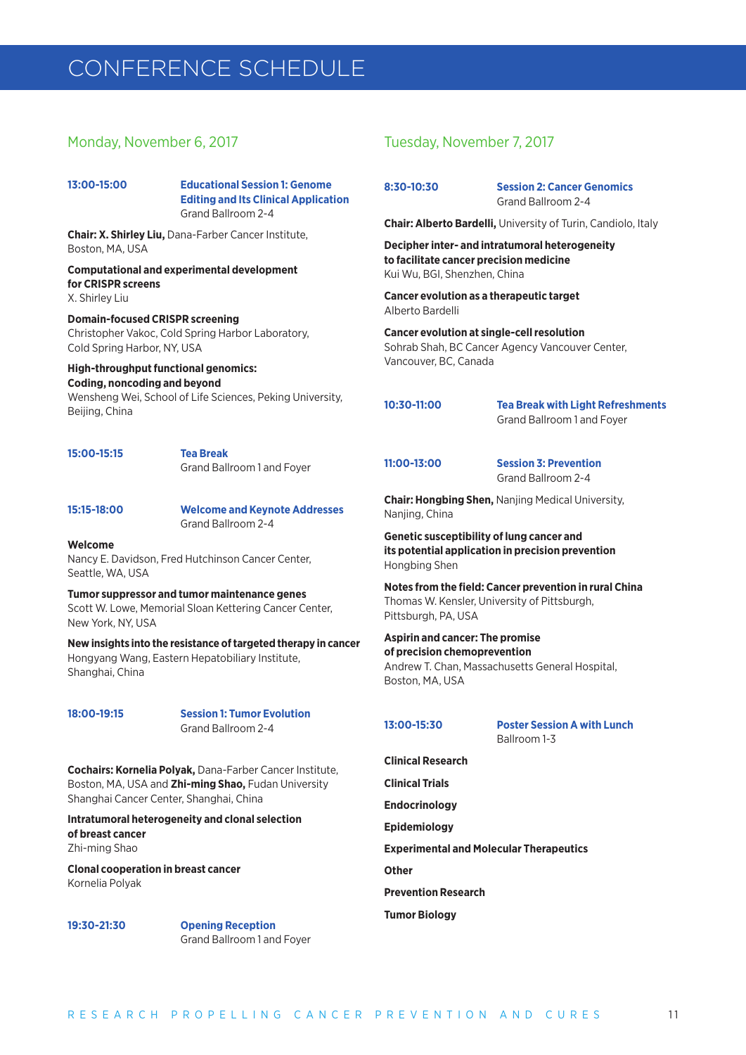# CONFERENCE SCHEDULE

# Monday, November 6, 2017

**13:00-15:00 Educational Session 1: Genome Editing and Its Clinical Application** Grand Ballroom 2-4

**Chair: X. Shirley Liu,** Dana-Farber Cancer Institute, Boston, MA, USA

# **Computational and experimental development for CRISPR screens**

X. Shirley Liu

# **Domain-focused CRISPR screening**

Christopher Vakoc, Cold Spring Harbor Laboratory, Cold Spring Harbor, NY, USA

# **High-throughput functional genomics: Coding, noncoding and beyond**

Wensheng Wei, School of Life Sciences, Peking University, Beijing, China

| 15:00-15:15 | <b>Tea Break</b>           |
|-------------|----------------------------|
|             | Grand Ballroom 1 and Foyer |

**15:15-18:00 Welcome and Keynote Addresses** Grand Ballroom 2-4

### **Welcome**

Nancy E. Davidson, Fred Hutchinson Cancer Center, Seattle, WA, USA

**Tumor suppressor and tumor maintenance genes** Scott W. Lowe, Memorial Sloan Kettering Cancer Center, New York, NY, USA

**New insights into the resistance of targeted therapy in cancer** Hongyang Wang, Eastern Hepatobiliary Institute, Shanghai, China

**18:00-19:15 Session 1: Tumor Evolution** Grand Ballroom 2-4

**Cochairs: Kornelia Polyak,** Dana-Farber Cancer Institute, Boston, MA, USA and **Zhi-ming Shao,** Fudan University Shanghai Cancer Center, Shanghai, China

**Intratumoral heterogeneity and clonal selection of breast cancer**  Zhi-ming Shao

**Clonal cooperation in breast cancer** Kornelia Polyak

**19:30-21:30 Opening Reception** Grand Ballroom 1 and Foyer

# Tuesday, November 7, 2017

**8:30-10:30 Session 2: Cancer Genomics** Grand Ballroom 2-4

**Chair: Alberto Bardelli,** University of Turin, Candiolo, Italy

**Decipher inter- and intratumoral heterogeneity to facilitate cancer precision medicine** Kui Wu, BGI, Shenzhen, China

**Cancer evolution as a therapeutic target** Alberto Bardelli

**Cancer evolution at single-cell resolution** Sohrab Shah, BC Cancer Agency Vancouver Center, Vancouver, BC, Canada

**10:30-11:00 Tea Break with Light Refreshments** Grand Ballroom 1 and Foyer

**11:00-13:00 Session 3: Prevention** Grand Ballroom 2-4

**Chair: Hongbing Shen,** Nanjing Medical University, Nanjing, China

**Genetic susceptibility of lung cancer and its potential application in precision prevention** Hongbing Shen

**Notes from the field: Cancer prevention in rural China**  Thomas W. Kensler, University of Pittsburgh, Pittsburgh, PA, USA

# **Aspirin and cancer: The promise of precision chemoprevention**

Andrew T. Chan, Massachusetts General Hospital, Boston, MA, USA

**13:00-15:30 Poster Session A with Lunch**  Ballroom 1-3

**Clinical Research Clinical Trials Endocrinology Epidemiology Experimental and Molecular Therapeutics Other Prevention Research Tumor Biology**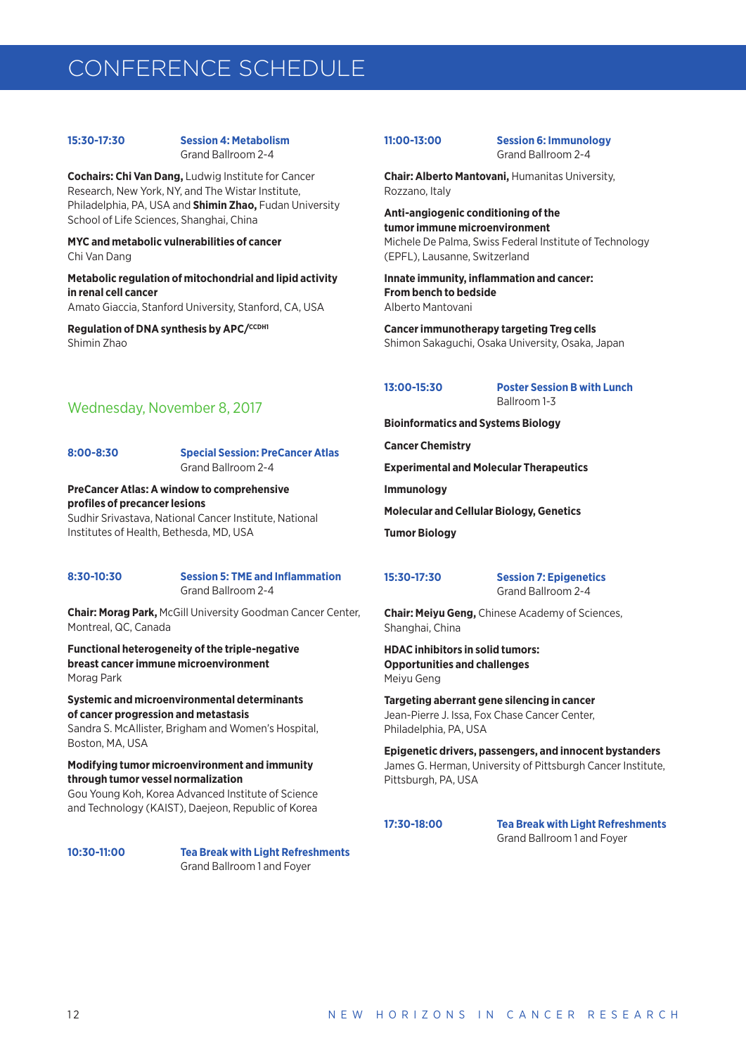# CONFERENCE SCHEDULE

### **15:30-17:30 Session 4: Metabolism** Grand Ballroom 2-4

**Cochairs: Chi Van Dang,** Ludwig Institute for Cancer Research, New York, NY, and The Wistar Institute, Philadelphia, PA, USA and **Shimin Zhao,** Fudan University School of Life Sciences, Shanghai, China

## **MYC and metabolic vulnerabilities of cancer** Chi Van Dang

**Metabolic regulation of mitochondrial and lipid activity in renal cell cancer** Amato Giaccia, Stanford University, Stanford, CA, USA

**Regulation of DNA synthesis by APC/CCDH1** Shimin Zhao

# Wednesday, November 8, 2017

### **8:00-8:30 Special Session: PreCancer Atlas** Grand Ballroom 2-4

**PreCancer Atlas: A window to comprehensive profiles of precancer lesions**

Sudhir Srivastava, National Cancer Institute, National Institutes of Health, Bethesda, MD, USA

### **8:30-10:30 Session 5: TME and Inflammation** Grand Ballroom 2-4

**Chair: Morag Park,** McGill University Goodman Cancer Center, Montreal, QC, Canada

**Functional heterogeneity of the triple-negative breast cancer immune microenvironment** Morag Park

**Systemic and microenvironmental determinants of cancer progression and metastasis** 

Sandra S. McAllister, Brigham and Women's Hospital, Boston, MA, USA

# **Modifying tumor microenvironment and immunity through tumor vessel normalization**

Gou Young Koh, Korea Advanced Institute of Science and Technology (KAIST), Daejeon, Republic of Korea

**10:30-11:00 Tea Break with Light Refreshments** Grand Ballroom 1 and Foyer

**11:00-13:00 Session 6: Immunology** Grand Ballroom 2-4

**Chair: Alberto Mantovani,** Humanitas University, Rozzano, Italy

**Anti-angiogenic conditioning of the tumor immune microenvironment** Michele De Palma, Swiss Federal Institute of Technology (EPFL), Lausanne, Switzerland

**Innate immunity, inflammation and cancer: From bench to bedside**  Alberto Mantovani

**Cancer immunotherapy targeting Treg cells** Shimon Sakaguchi, Osaka University, Osaka, Japan

**13:00-15:30 Poster Session B with Lunch** Ballroom 1-3

**Bioinformatics and Systems Biology**

**Cancer Chemistry**

**Experimental and Molecular Therapeutics**

**Immunology**

**Molecular and Cellular Biology, Genetics**

**Tumor Biology**

**15:30-17:30 Session 7: Epigenetics** Grand Ballroom 2-4

**Chair: Meiyu Geng,** Chinese Academy of Sciences, Shanghai, China

**HDAC inhibitors in solid tumors: Opportunities and challenges** Meiyu Geng

**Targeting aberrant gene silencing in cancer**  Jean-Pierre J. Issa, Fox Chase Cancer Center, Philadelphia, PA, USA

**Epigenetic drivers, passengers, and innocent bystanders** James G. Herman, University of Pittsburgh Cancer Institute, Pittsburgh, PA, USA

**17:30-18:00 Tea Break with Light Refreshments** Grand Ballroom 1 and Foyer